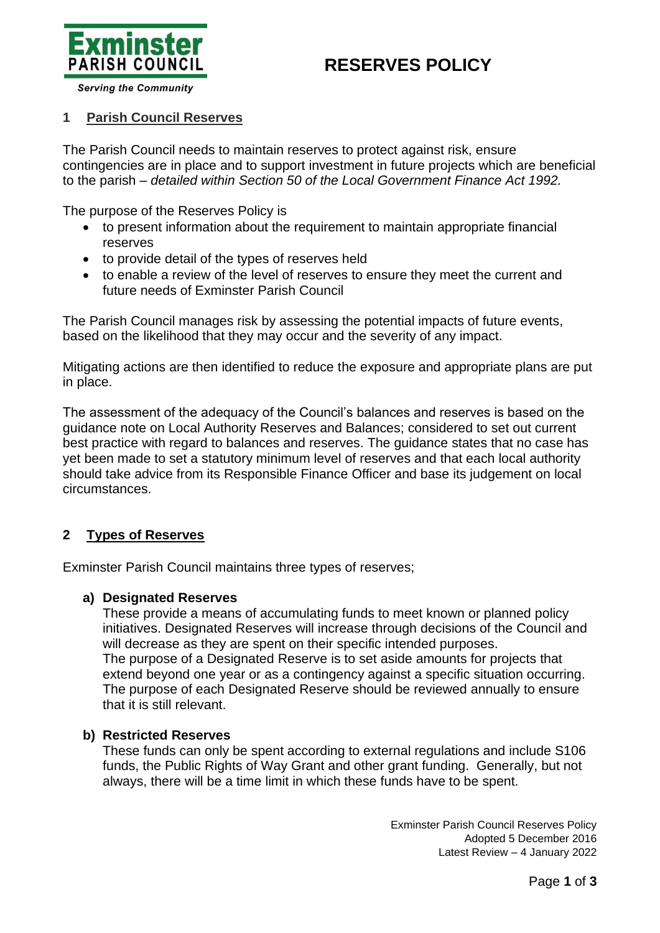



**Serving the Community** 

### **1 Parish Council Reserves**

The Parish Council needs to maintain reserves to protect against risk, ensure contingencies are in place and to support investment in future projects which are beneficial to the parish – *detailed within Section 50 of the Local Government Finance Act 1992.*

The purpose of the Reserves Policy is

- to present information about the requirement to maintain appropriate financial reserves
- to provide detail of the types of reserves held
- to enable a review of the level of reserves to ensure they meet the current and future needs of Exminster Parish Council

The Parish Council manages risk by assessing the potential impacts of future events, based on the likelihood that they may occur and the severity of any impact.

Mitigating actions are then identified to reduce the exposure and appropriate plans are put in place.

The assessment of the adequacy of the Council's balances and reserves is based on the guidance note on Local Authority Reserves and Balances; considered to set out current best practice with regard to balances and reserves. The guidance states that no case has yet been made to set a statutory minimum level of reserves and that each local authority should take advice from its Responsible Finance Officer and base its judgement on local circumstances.

## **2 Types of Reserves**

Exminster Parish Council maintains three types of reserves;

#### **a) Designated Reserves**

These provide a means of accumulating funds to meet known or planned policy initiatives. Designated Reserves will increase through decisions of the Council and will decrease as they are spent on their specific intended purposes. The purpose of a Designated Reserve is to set aside amounts for projects that extend beyond one year or as a contingency against a specific situation occurring. The purpose of each Designated Reserve should be reviewed annually to ensure that it is still relevant.

#### **b) Restricted Reserves**

These funds can only be spent according to external regulations and include S106 funds, the Public Rights of Way Grant and other grant funding. Generally, but not always, there will be a time limit in which these funds have to be spent.

> Exminster Parish Council Reserves Policy Adopted 5 December 2016 Latest Review – 4 January 2022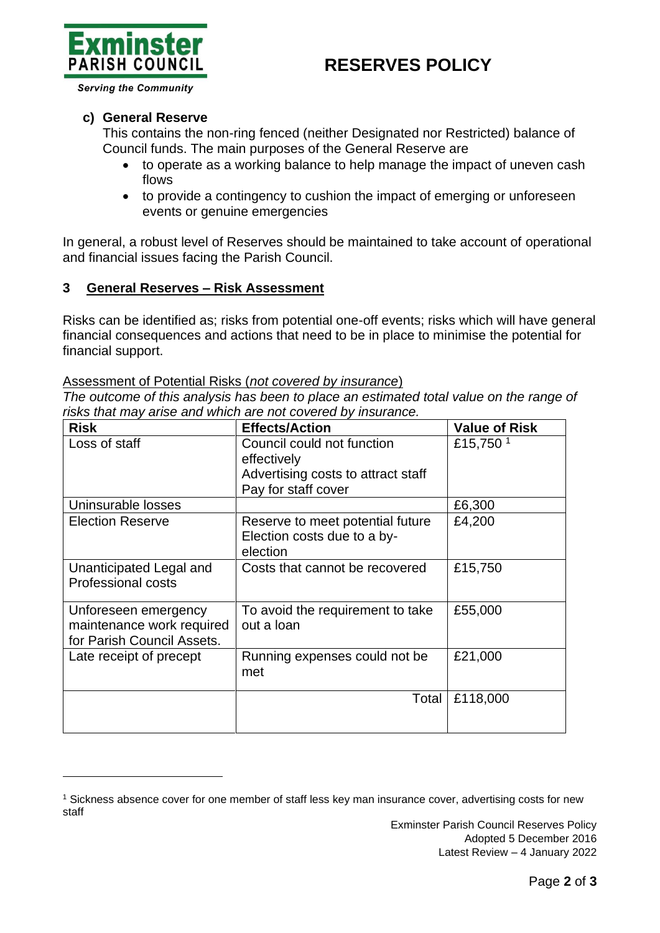# **RESERVES POLICY**



**Serving the Community** 

### **c) General Reserve**

This contains the non-ring fenced (neither Designated nor Restricted) balance of Council funds. The main purposes of the General Reserve are

- to operate as a working balance to help manage the impact of uneven cash flows
- to provide a contingency to cushion the impact of emerging or unforeseen events or genuine emergencies

In general, a robust level of Reserves should be maintained to take account of operational and financial issues facing the Parish Council.

### **3 General Reserves – Risk Assessment**

Risks can be identified as; risks from potential one-off events; risks which will have general financial consequences and actions that need to be in place to minimise the potential for financial support.

#### Assessment of Potential Risks (*not covered by insurance*)

*The outcome of this analysis has been to place an estimated total value on the range of risks that may arise and which are not covered by insurance.*

| <b>Risk</b>                                                                     | <b>Effects/Action</b>                                                                                  | <b>Value of Risk</b> |
|---------------------------------------------------------------------------------|--------------------------------------------------------------------------------------------------------|----------------------|
| Loss of staff                                                                   | Council could not function<br>effectively<br>Advertising costs to attract staff<br>Pay for staff cover | £15,750 <sup>1</sup> |
| Uninsurable losses                                                              |                                                                                                        | £6,300               |
| <b>Election Reserve</b>                                                         | Reserve to meet potential future<br>Election costs due to a by-<br>election                            | £4,200               |
| Unanticipated Legal and<br><b>Professional costs</b>                            | Costs that cannot be recovered                                                                         | £15,750              |
| Unforeseen emergency<br>maintenance work required<br>for Parish Council Assets. | To avoid the requirement to take<br>out a loan                                                         | £55,000              |
| Late receipt of precept                                                         | Running expenses could not be<br>met                                                                   | £21,000              |
|                                                                                 | Total                                                                                                  | £118,000             |

<sup>1</sup> Sickness absence cover for one member of staff less key man insurance cover, advertising costs for new staff